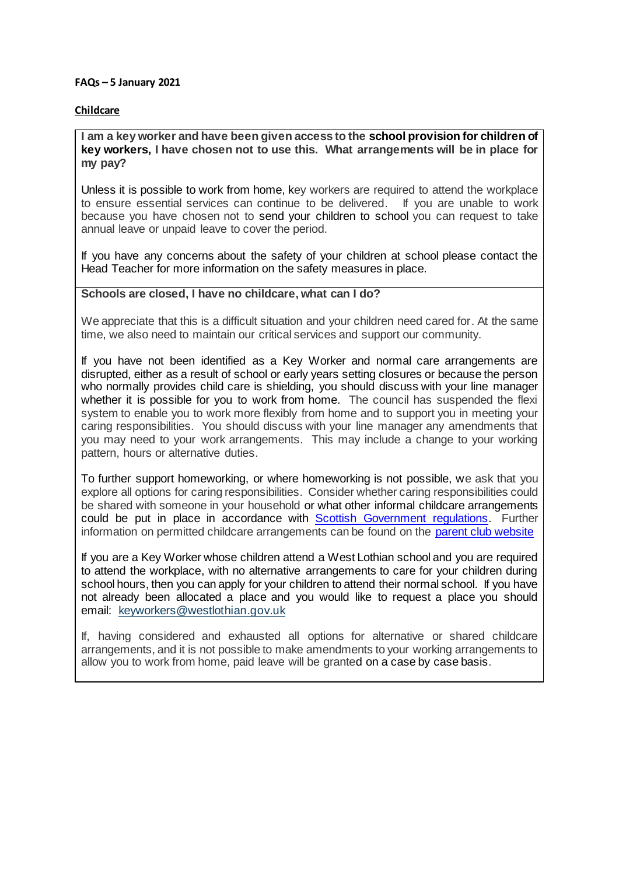#### **FAQs – 5 January 2021**

### **Childcare**

**I am a key worker and have been given access to the school provision for children of key workers, I have chosen not to use this. What arrangements will be in place for my pay?**

Unless it is possible to work from home, key workers are required to attend the workplace to ensure essential services can continue to be delivered. If you are unable to work because you have chosen not to send your children to school you can request to take annual leave or unpaid leave to cover the period.

If you have any concerns about the safety of your children at school please contact the Head Teacher for more information on the safety measures in place.

## **Schools are closed, I have no childcare, what can I do?**

We appreciate that this is a difficult situation and your children need cared for. At the same time, we also need to maintain our critical services and support our community.

If you have not been identified as a Key Worker and normal care arrangements are disrupted, either as a result of school or early years setting closures or because the person who normally provides child care is shielding, you should discuss with your line manager whether it is possible for you to work from home. The council has suspended the flexi system to enable you to work more flexibly from home and to support you in meeting your caring responsibilities. You should discuss with your line manager any amendments that you may need to your work arrangements. This may include a change to your working pattern, hours or alternative duties.

To further support homeworking, or where homeworking is not possible, we ask that you explore all options for caring responsibilities. Consider whether caring responsibilities could be shared with someone in your household or what other informal childcare arrangements could be put in place in accordance with [Scottish Government regulations.](https://www.gov.scot/publications/coronavirus-covid-19-stay-at-home-guidance/) Further information on permitted childcare arrangements can be found on the [parent club website](https://www.parentclub.scot/articles/your-guide-childcare)

If you are a Key Worker whose children attend a West Lothian school and you are required to attend the workplace, with no alternative arrangements to care for your children during school hours, then you can apply for your children to attend their normal school. If you have not already been allocated a place and you would like to request a place you should email: [keyworkers@westlothian.gov.uk](mailto:keyworkers@westlothian.gov.uk)

If, having considered and exhausted all options for alternative or shared childcare arrangements, and it is not possible to make amendments to your working arrangements to allow you to work from home, paid leave will be granted on a case by case basis.